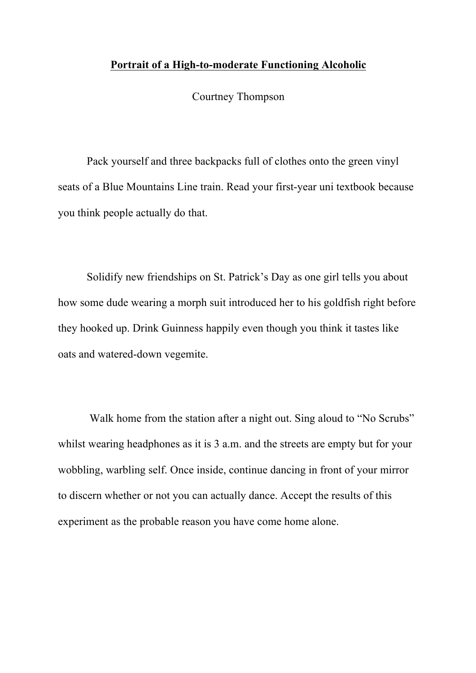## **Portrait of a High-to-moderate Functioning Alcoholic**

Courtney Thompson

Pack yourself and three backpacks full of clothes onto the green vinyl seats of a Blue Mountains Line train. Read your first-year uni textbook because you think people actually do that.

Solidify new friendships on St. Patrick's Day as one girl tells you about how some dude wearing a morph suit introduced her to his goldfish right before they hooked up. Drink Guinness happily even though you think it tastes like oats and watered-down vegemite.

Walk home from the station after a night out. Sing aloud to "No Scrubs" whilst wearing headphones as it is 3 a.m. and the streets are empty but for your wobbling, warbling self. Once inside, continue dancing in front of your mirror to discern whether or not you can actually dance. Accept the results of this experiment as the probable reason you have come home alone.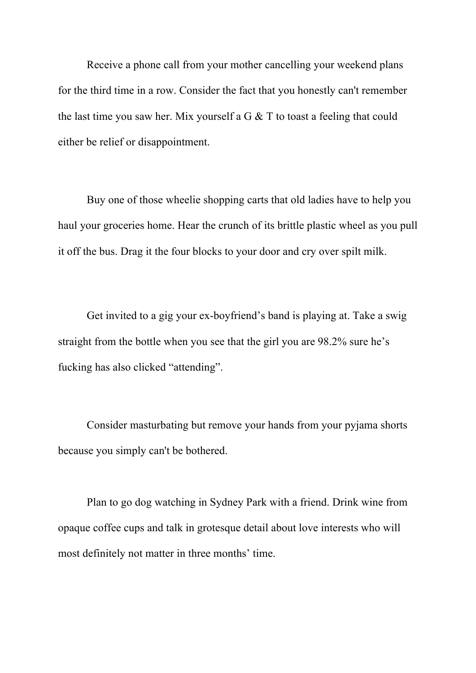Receive a phone call from your mother cancelling your weekend plans for the third time in a row. Consider the fact that you honestly can't remember the last time you saw her. Mix yourself a G & T to toast a feeling that could either be relief or disappointment.

Buy one of those wheelie shopping carts that old ladies have to help you haul your groceries home. Hear the crunch of its brittle plastic wheel as you pull it off the bus. Drag it the four blocks to your door and cry over spilt milk.

Get invited to a gig your ex-boyfriend's band is playing at. Take a swig straight from the bottle when you see that the girl you are 98.2% sure he's fucking has also clicked "attending".

Consider masturbating but remove your hands from your pyjama shorts because you simply can't be bothered.

Plan to go dog watching in Sydney Park with a friend. Drink wine from opaque coffee cups and talk in grotesque detail about love interests who will most definitely not matter in three months' time.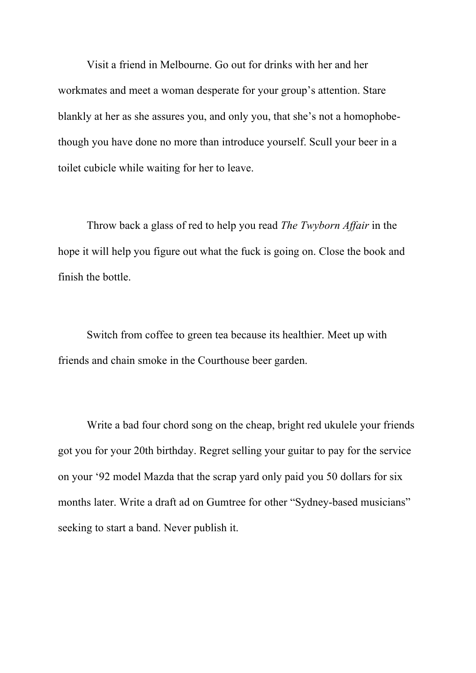Visit a friend in Melbourne. Go out for drinks with her and her workmates and meet a woman desperate for your group's attention. Stare blankly at her as she assures you, and only you, that she's not a homophobethough you have done no more than introduce yourself. Scull your beer in a toilet cubicle while waiting for her to leave.

Throw back a glass of red to help you read *The Twyborn Affair* in the hope it will help you figure out what the fuck is going on. Close the book and finish the bottle.

Switch from coffee to green tea because its healthier. Meet up with friends and chain smoke in the Courthouse beer garden.

Write a bad four chord song on the cheap, bright red ukulele your friends got you for your 20th birthday. Regret selling your guitar to pay for the service on your '92 model Mazda that the scrap yard only paid you 50 dollars for six months later. Write a draft ad on Gumtree for other "Sydney-based musicians" seeking to start a band. Never publish it.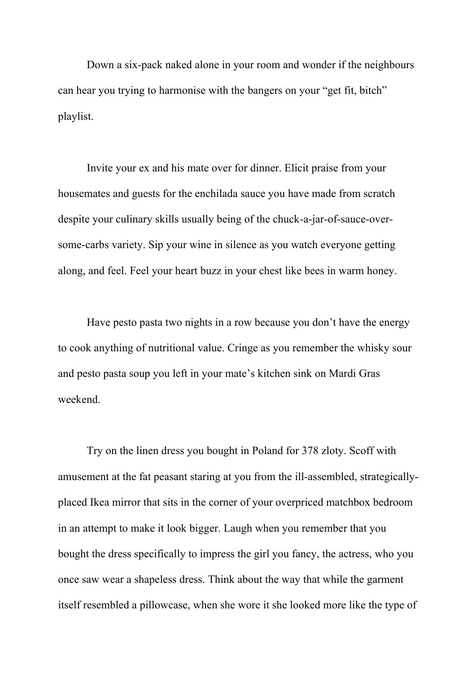Down a six-pack naked alone in your room and wonder if the neighbours can hear you trying to harmonise with the bangers on your "get fit, bitch" playlist.

Invite your ex and his mate over for dinner. Elicit praise from your housemates and guests for the enchilada sauce you have made from scratch despite your culinary skills usually being of the chuck-a-jar-of-sauce-oversome-carbs variety. Sip your wine in silence as you watch everyone getting along, and feel. Feel your heart buzz in your chest like bees in warm honey.

Have pesto pasta two nights in a row because you don't have the energy to cook anything of nutritional value. Cringe as you remember the whisky sour and pesto pasta soup you left in your mate's kitchen sink on Mardi Gras weekend.

Try on the linen dress you bought in Poland for 378 zloty. Scoff with amusement at the fat peasant staring at you from the ill-assembled, strategicallyplaced Ikea mirror that sits in the corner of your overpriced matchbox bedroom in an attempt to make it look bigger. Laugh when you remember that you bought the dress specifically to impress the girl you fancy, the actress, who you once saw wear a shapeless dress. Think about the way that while the garment itself resembled a pillowcase, when she wore it she looked more like the type of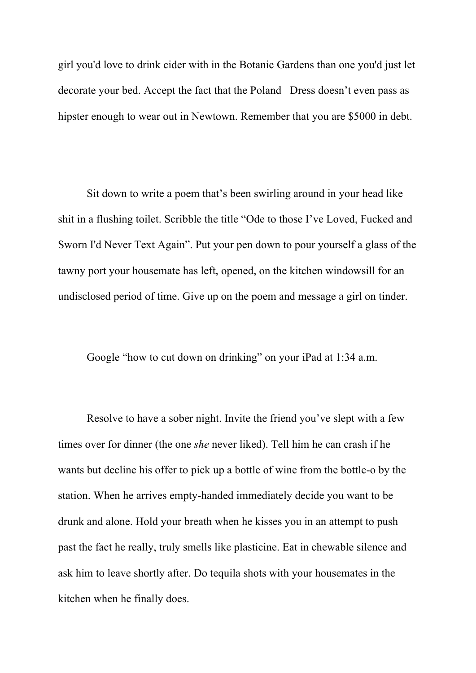girl you'd love to drink cider with in the Botanic Gardens than one you'd just let decorate your bed. Accept the fact that the Poland Dress doesn't even pass as hipster enough to wear out in Newtown. Remember that you are \$5000 in debt.

Sit down to write a poem that's been swirling around in your head like shit in a flushing toilet. Scribble the title "Ode to those I've Loved, Fucked and Sworn I'd Never Text Again". Put your pen down to pour yourself a glass of the tawny port your housemate has left, opened, on the kitchen windowsill for an undisclosed period of time. Give up on the poem and message a girl on tinder.

Google "how to cut down on drinking" on your iPad at 1:34 a.m.

Resolve to have a sober night. Invite the friend you've slept with a few times over for dinner (the one *she* never liked). Tell him he can crash if he wants but decline his offer to pick up a bottle of wine from the bottle-o by the station. When he arrives empty-handed immediately decide you want to be drunk and alone. Hold your breath when he kisses you in an attempt to push past the fact he really, truly smells like plasticine. Eat in chewable silence and ask him to leave shortly after. Do tequila shots with your housemates in the kitchen when he finally does.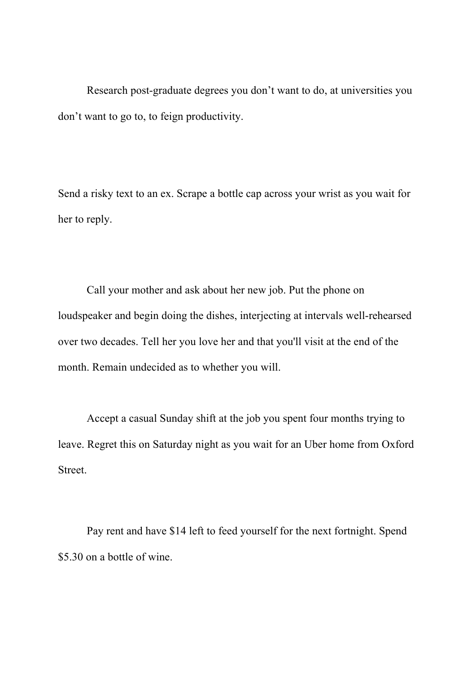Research post-graduate degrees you don't want to do, at universities you don't want to go to, to feign productivity.

Send a risky text to an ex. Scrape a bottle cap across your wrist as you wait for her to reply.

Call your mother and ask about her new job. Put the phone on loudspeaker and begin doing the dishes, interjecting at intervals well-rehearsed over two decades. Tell her you love her and that you'll visit at the end of the month. Remain undecided as to whether you will.

Accept a casual Sunday shift at the job you spent four months trying to leave. Regret this on Saturday night as you wait for an Uber home from Oxford Street.

Pay rent and have \$14 left to feed yourself for the next fortnight. Spend \$5.30 on a bottle of wine.